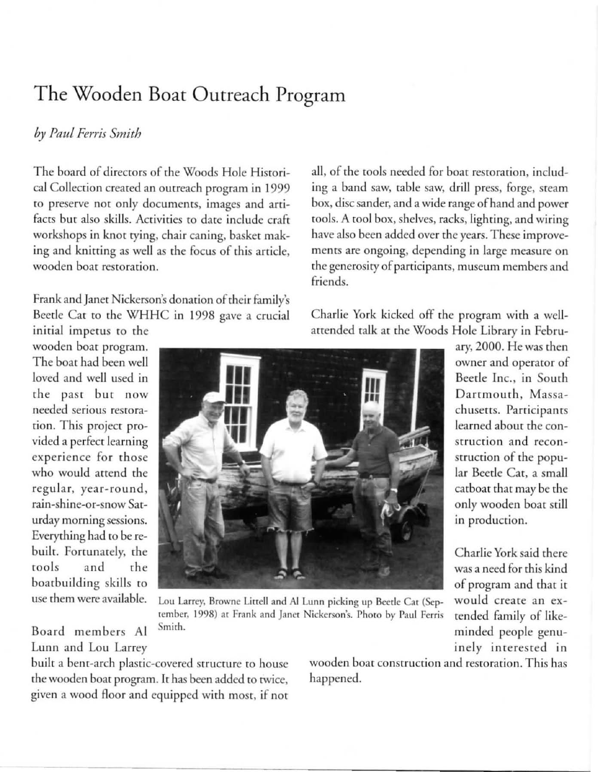## The Wooden Boat Outreach Program

## *by Paul Ferris Smith*

The board of directors of the Woods Hole Historical Collection created an outreach program in 1999 to preserve not only documents, images and artifacts but also skills. Activities to date include craft workshops in knot tying, chair caning, basket making and knitting as well as the focus of this article, **wooden boat restoration.** 

Frank and Janet Nickerson's donation of their family's Beede Cat to the WHHC in 1998 gave a crucial initial impetus to the

wooden boat program. The boat had been well loved and well used in **rhe past but now**  needed serious restoration. This project provided a perfect learning  $e$  **experience** for those who would attend the  $regular, year-round,$ **rain-shine-or-snow Saturday morning sessions.**  Everything had to be rebuilt. Fortunately, the tools and the boatbuilding skills to **use rhem were available.** 

Board members Al Lunn and Lou Larrey all, of the tools needed for boat restoration, including a band saw, table saw, drill press, forge, steam box, disc sander, and a wide range of hand and power tools. A tool box, shelves, racks, lighting, and wiring have also been added over the years. These improve**ments arc ongoing, depending in large measure on the generosiry of panicipanrs. museum members and**  friends.

Charlie York kicked off the program with a wellattended talk at the Woods Hole Library in Febru-



Lou Larrey, Browne Littell and Al Lunn picking up Beetle Cat (Sep**tember. 1998) at Frank and Jancr Nickcrson's. Phoro by Paul Fcrris Smirh.** 

built a bent-arch plastic-covered structure to house the wooden boat program. It has been added to twice, given a wood floor and equipped with most, if not

**wooden boar consrrucrion and resrorarion. This has**  happened.

ary, 2000. He was then **owner and operator of**  Beetie Inc., in South **Dartmouth , Massachuscns. Participants**  learned about the con**struction and recon**struction of the popular Beetle Cat, a small catboat that may be the only wooden boat still **in production.** 

Charlie York said there was a need for this kind of program and that it **would create an ex**tended family of likeminded people genuinely interested in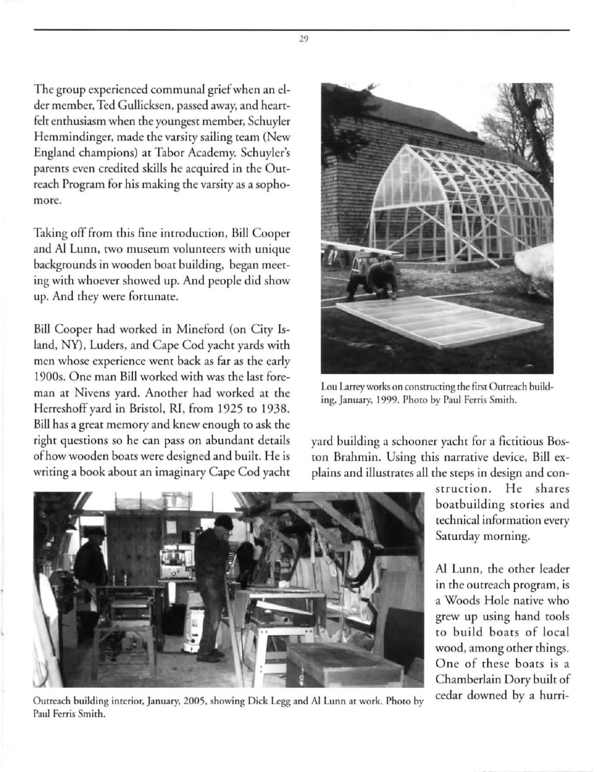The group experienced communal grief when an elder member, Ted Gullicksen, passed away, and heartfelt enthusiasm when the youngest member, Schuyler Hemmindinger, made the varsity sailing team (New England champions) at Tabor Academy. Schuyler's parents even credited skills he acquired in the Outreach Program for his making the varsity as a sopho**more.** 

Taking off from this fine introduction, Bill Cooper and Al Lunn, two museum volunteers with unique backgrounds in wooden boat building, began meeting with whoever showed up. And people did show up. And they were fortunate.

Bill Cooper had worked in Mineford (on Ciry Island, NY), Luders, and Cape Cod yacht yards with men whose experience went back as far as the early 1900s. One man Bill worked with was the last foreman at Nivens yard. Another had worked at the Herreshoff yard in Bristol, RI, from 1925 to 1938. Bill has a great memory and knew enough ro ask the **right questions so he can pass on abundant derails**  of how wooden boars were designed and built. He is writing a book about an imaginary Cape Cod yacht



Lou Larrey works on constructing the first Outreach build**ing. January. 1999. Phoro by Paul Ferris Smith.** 

yard building a schooner yacht for a fictitious Boston Brahmin. Using this narrative device, Bill explains and illustrates all the steps in design and con-

> **sr ru c ri o n. H e sha res**  boatbuilding stories and **technical information every**  Sarurday morning.

> AI Lunn, the orher leader **in the outreach program, is**  a Woods Hole narive who grew up using hand tools to build boats of local **wood, among other things.**  One of these boats is a Chamberlain Dory built of cedar downed by a hurri-



Outreach building interior, January, 2005, showing Dick Legg and Al Lunn at work. Photo by **Pau l Ferris Smirh.** 

29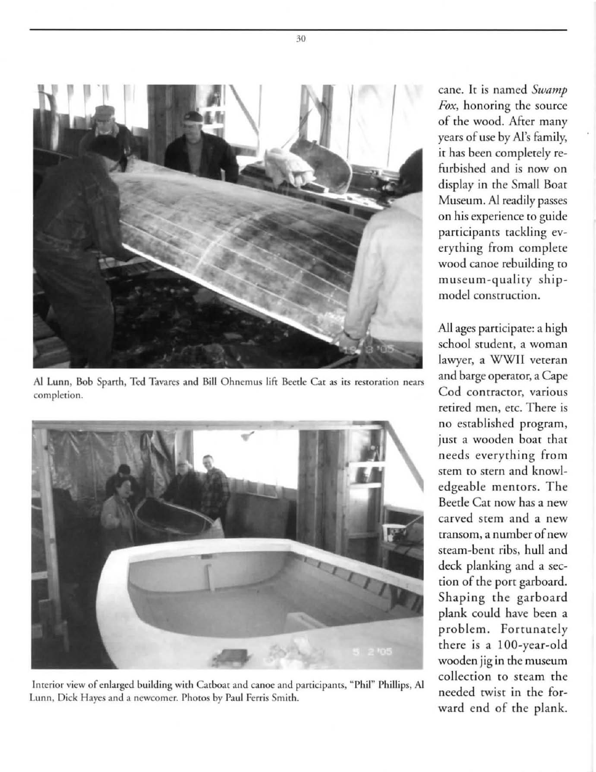

Al Lunn, Bob Sparth, Ted Tavares and Bill Ohnemus lift Beetle Cat as its restoration nears **completion.** 



Interior view of enlarged building with Catboat and canoe and participants, "Phil" Phillips, Al **Lunn. Dick Hayes and a newcomer. Phoros by Paul Ferris Smith.** 

**cane. It is named** *Swamp Fox,* **honoring rhe source**  of the wood. After many years of use by AI's family, it has been completely refurbished and is now on display in the Small Boat Museum. AI readily passes **on his experience to guide participants tackling ev**erything from complete wood canoe rebuilding to museum-quality ship**model construction.** 

All ages participate: a high **school student, a woman**  lawyer, a WWII veteran and barge operator, a Cape **Cod contractor, va rious retired men, erc. There is**  no established program, just a wooden boat that **needs eve rything from**  stem to stern and knowledgeable mentors. The Beede Cat now has a new **carved stem and a new transom, a number of new**  steam-bent ribs, hull and deck planking and a section of the port garboard. Shaping the garboard plank could have been a problem. Fortunately there is a 100-year-old **wooden jig in rhe museum**  collection to steam the needed twist in the forward end of the plank.